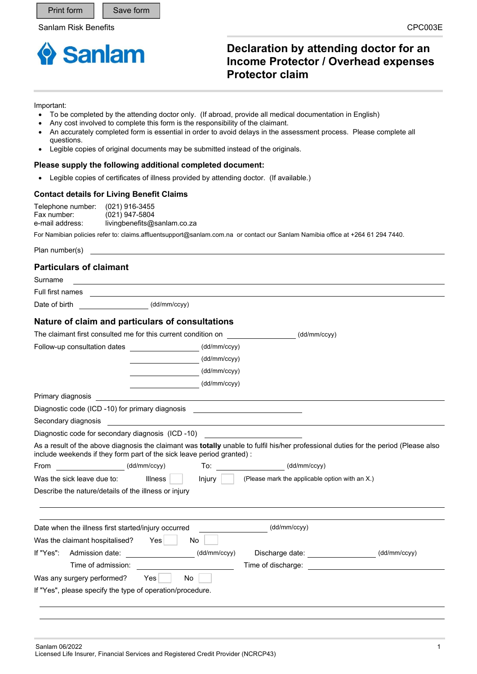

# **Declaration by attending doctor for an Income Protector / Overhead expenses Protector claim**

#### Important:

- To be completed by the attending doctor only. (If abroad, provide all medical documentation in English)
- Any cost involved to complete this form is the responsibility of the claimant.
- An accurately completed form is essential in order to avoid delays in the assessment process. Please complete all questions.
- Legible copies of original documents may be submitted instead of the originals.

#### **Please supply the following additional completed document:**

Legible copies of certificates of illness provided by attending doctor. (If available.)

### **Contact details for Living Benefit Claims**

| Telephone number: | $(021)$ 916-3455            |
|-------------------|-----------------------------|
| Fax number:       | (021) 947-5804              |
| e-mail address:   | livingbenefits@sanlam.co.za |

For Namibian policies refer to: claims.affluentsupport@sanlam.com.na or contact our Sanlam Namibia office at +264 61 294 7440.

Plan number(s)

## **Particulars of claimant**

| Surname                                                   |                                                                       |                                                                                                                                      |              |
|-----------------------------------------------------------|-----------------------------------------------------------------------|--------------------------------------------------------------------------------------------------------------------------------------|--------------|
| Full first names                                          |                                                                       |                                                                                                                                      |              |
| Date of birth                                             | (dd/mm/ccyy)                                                          |                                                                                                                                      |              |
|                                                           | Nature of claim and particulars of consultations                      |                                                                                                                                      |              |
|                                                           | The claimant first consulted me for this current condition on         | (dd/mm/ccyy)                                                                                                                         |              |
| Follow-up consultation dates                              | (dd/mm/ccyy)                                                          |                                                                                                                                      |              |
|                                                           | (dd/mm/ccyy)                                                          |                                                                                                                                      |              |
|                                                           | (dd/mm/ccyy)                                                          |                                                                                                                                      |              |
|                                                           | (dd/mm/ccyy)                                                          |                                                                                                                                      |              |
| Primary diagnosis                                         |                                                                       |                                                                                                                                      |              |
| Diagnostic code (ICD -10) for primary diagnosis           |                                                                       |                                                                                                                                      |              |
| Secondary diagnosis                                       | <u> 1989 - Johann Barn, mars and de Brasilian (b. 1989)</u>           |                                                                                                                                      |              |
|                                                           |                                                                       |                                                                                                                                      |              |
|                                                           | include weekends if they form part of the sick leave period granted): | As a result of the above diagnosis the claimant was totally unable to fulfil his/her professional duties for the period (Please also |              |
| From                                                      | (dd/mm/ccyy)                                                          |                                                                                                                                      |              |
| Was the sick leave due to:                                | <b>Illness</b><br>Injury                                              | $\vert$ (Please mark the applicable option with an X.)                                                                               |              |
| Describe the nature/details of the illness or injury      |                                                                       |                                                                                                                                      |              |
|                                                           |                                                                       |                                                                                                                                      |              |
|                                                           |                                                                       |                                                                                                                                      |              |
| Date when the illness first started/injury occurred       |                                                                       | (dd/mm/ccyy)                                                                                                                         |              |
| Was the claimant hospitalised?                            | <b>No</b><br><b>Yes</b>                                               |                                                                                                                                      |              |
| If "Yes":                                                 | Admission date: (dd/mm/ccyy)                                          | Discharge date: __________________                                                                                                   | (dd/mm/ccyy) |
| Time of admission:                                        |                                                                       |                                                                                                                                      |              |
| Was any surgery performed?                                | No.<br>Yes                                                            |                                                                                                                                      |              |
| If "Yes", please specify the type of operation/procedure. |                                                                       |                                                                                                                                      |              |
|                                                           |                                                                       |                                                                                                                                      |              |
|                                                           |                                                                       |                                                                                                                                      |              |
|                                                           |                                                                       |                                                                                                                                      |              |